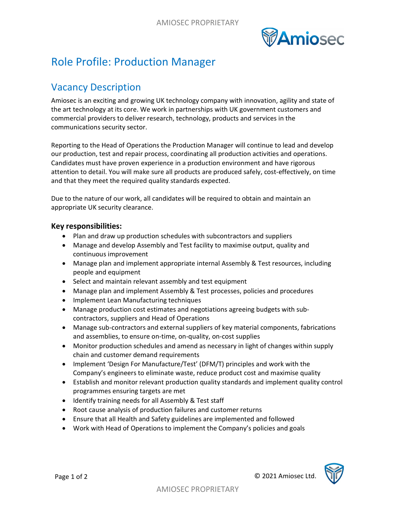

## Role Profile: Production Manager

## Vacancy Description

Amiosec is an exciting and growing UK technology company with innovation, agility and state of the art technology at its core. We work in partnerships with UK government customers and commercial providers to deliver research, technology, products and services in the communications security sector.

Reporting to the Head of Operations the Production Manager will continue to lead and develop our production, test and repair process, coordinating all production activities and operations. Candidates must have proven experience in a production environment and have rigorous attention to detail. You will make sure all products are produced safely, cost-effectively, on time and that they meet the required quality standards expected.

Due to the nature of our work, all candidates will be required to obtain and maintain an appropriate UK security clearance.

## Key responsibilities:

- Plan and draw up production schedules with subcontractors and suppliers
- Manage and develop Assembly and Test facility to maximise output, quality and continuous improvement
- Manage plan and implement appropriate internal Assembly & Test resources, including people and equipment
- Select and maintain relevant assembly and test equipment
- Manage plan and implement Assembly & Test processes, policies and procedures
- Implement Lean Manufacturing techniques
- Manage production cost estimates and negotiations agreeing budgets with subcontractors, suppliers and Head of Operations
- Manage sub-contractors and external suppliers of key material components, fabrications and assemblies, to ensure on-time, on-quality, on-cost supplies
- Monitor production schedules and amend as necessary in light of changes within supply chain and customer demand requirements
- Implement 'Design For Manufacture/Test' (DFM/T) principles and work with the Company's engineers to eliminate waste, reduce product cost and maximise quality
- Establish and monitor relevant production quality standards and implement quality control programmes ensuring targets are met
- Identify training needs for all Assembly & Test staff
- Root cause analysis of production failures and customer returns
- Ensure that all Health and Safety guidelines are implemented and followed
- Work with Head of Operations to implement the Company's policies and goals